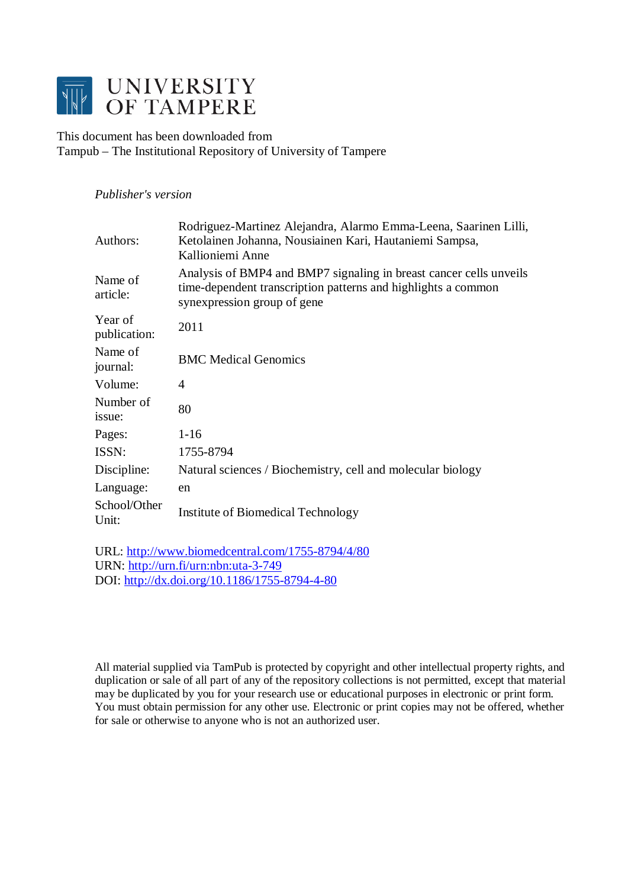

This document has been downloaded from Tampub – The Institutional Repository of University of Tampere

# *Publisher's version*

| Authors:                | Rodriguez-Martinez Alejandra, Alarmo Emma-Leena, Saarinen Lilli,<br>Ketolainen Johanna, Nousiainen Kari, Hautaniemi Sampsa,<br>Kallioniemi Anne                    |
|-------------------------|--------------------------------------------------------------------------------------------------------------------------------------------------------------------|
| Name of<br>article:     | Analysis of BMP4 and BMP7 signaling in breast cancer cells unveils<br>time-dependent transcription patterns and highlights a common<br>synexpression group of gene |
| Year of<br>publication: | 2011                                                                                                                                                               |
| Name of<br>journal:     | <b>BMC</b> Medical Genomics                                                                                                                                        |
| Volume:                 | 4                                                                                                                                                                  |
| Number of<br>issue:     | 80                                                                                                                                                                 |
| Pages:                  | $1 - 16$                                                                                                                                                           |
| ISSN:                   | 1755-8794                                                                                                                                                          |
| Discipline:             | Natural sciences / Biochemistry, cell and molecular biology                                                                                                        |
| Language:               | en                                                                                                                                                                 |
| School/Other<br>Unit:   | Institute of Biomedical Technology                                                                                                                                 |

URL:<http://www.biomedcentral.com/1755-8794/4/80> URN: <http://urn.fi/urn:nbn:uta-3-749> DOI: <http://dx.doi.org/10.1186/1755-8794-4-80>

All material supplied via TamPub is protected by copyright and other intellectual property rights, and duplication or sale of all part of any of the repository collections is not permitted, except that material may be duplicated by you for your research use or educational purposes in electronic or print form. You must obtain permission for any other use. Electronic or print copies may not be offered, whether for sale or otherwise to anyone who is not an authorized user.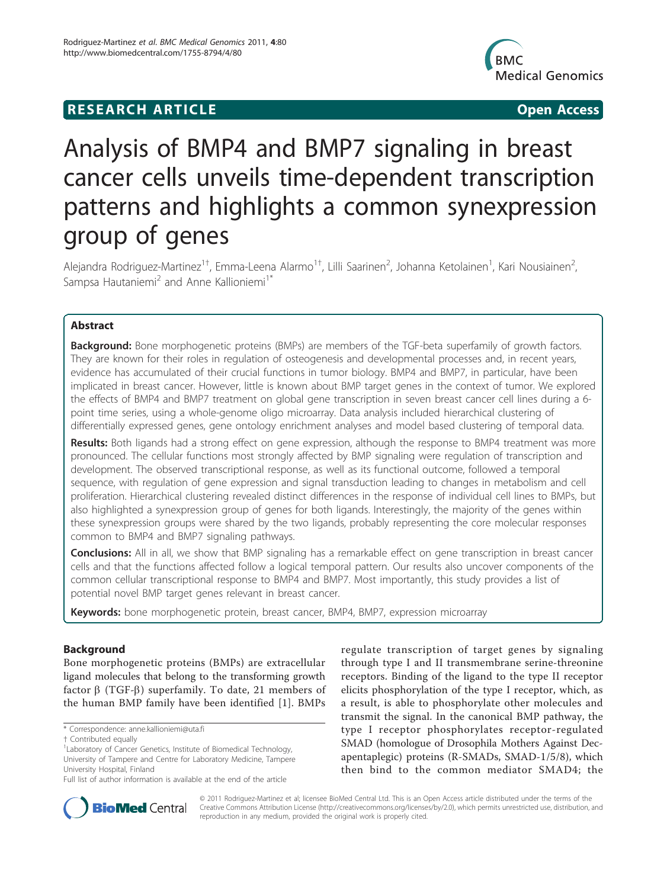# **RESEARCH ARTICLE Example 2018 12:00 Open Access**



# Analysis of BMP4 and BMP7 signaling in breast cancer cells unveils time-dependent transcription patterns and highlights a common synexpression group of genes

Alejandra Rodriguez-Martinez<sup>1†</sup>, Emma-Leena Alarmo<sup>1†</sup>, Lilli Saarinen<sup>2</sup>, Johanna Ketolainen<sup>1</sup>, Kari Nousiainen<sup>2</sup> , Sampsa Hautaniemi<sup>2</sup> and Anne Kallioniemi<sup>1\*</sup>

# Abstract

**Background:** Bone morphogenetic proteins (BMPs) are members of the TGF-beta superfamily of growth factors. They are known for their roles in regulation of osteogenesis and developmental processes and, in recent years, evidence has accumulated of their crucial functions in tumor biology. BMP4 and BMP7, in particular, have been implicated in breast cancer. However, little is known about BMP target genes in the context of tumor. We explored the effects of BMP4 and BMP7 treatment on global gene transcription in seven breast cancer cell lines during a 6 point time series, using a whole-genome oligo microarray. Data analysis included hierarchical clustering of differentially expressed genes, gene ontology enrichment analyses and model based clustering of temporal data.

Results: Both ligands had a strong effect on gene expression, although the response to BMP4 treatment was more pronounced. The cellular functions most strongly affected by BMP signaling were regulation of transcription and development. The observed transcriptional response, as well as its functional outcome, followed a temporal sequence, with regulation of gene expression and signal transduction leading to changes in metabolism and cell proliferation. Hierarchical clustering revealed distinct differences in the response of individual cell lines to BMPs, but also highlighted a synexpression group of genes for both ligands. Interestingly, the majority of the genes within these synexpression groups were shared by the two ligands, probably representing the core molecular responses common to BMP4 and BMP7 signaling pathways.

**Conclusions:** All in all, we show that BMP signaling has a remarkable effect on gene transcription in breast cancer cells and that the functions affected follow a logical temporal pattern. Our results also uncover components of the common cellular transcriptional response to BMP4 and BMP7. Most importantly, this study provides a list of potential novel BMP target genes relevant in breast cancer.

Keywords: bone morphogenetic protein, breast cancer, BMP4, BMP7, expression microarray

# Background

Bone morphogenetic proteins (BMPs) are extracellular ligand molecules that belong to the transforming growth factor  $\beta$  (TGF- $\beta$ ) superfamily. To date, 21 members of the human BMP family have been identified [[1\]](#page-15-0). BMPs

regulate transcription of target genes by signaling through type I and II transmembrane serine-threonine receptors. Binding of the ligand to the type II receptor elicits phosphorylation of the type I receptor, which, as a result, is able to phosphorylate other molecules and transmit the signal. In the canonical BMP pathway, the type I receptor phosphorylates receptor-regulated SMAD (homologue of Drosophila Mothers Against Decapentaplegic) proteins (R-SMADs, SMAD-1/5/8), which then bind to the common mediator SMAD4; the



© 2011 Rodriguez-Martinez et al; licensee BioMed Central Ltd. This is an Open Access article distributed under the terms of the Creative Commons Attribution License (<http://creativecommons.org/licenses/by/2.0>), which permits unrestricted use, distribution, and reproduction in any medium, provided the original work is properly cited.

<sup>\*</sup> Correspondence: [anne.kallioniemi@uta.fi](mailto:anne.kallioniemi@uta.fi)

<sup>†</sup> Contributed equally <sup>1</sup>

<sup>&</sup>lt;sup>1</sup> Laboratory of Cancer Genetics, Institute of Biomedical Technology, University of Tampere and Centre for Laboratory Medicine, Tampere University Hospital, Finland

Full list of author information is available at the end of the article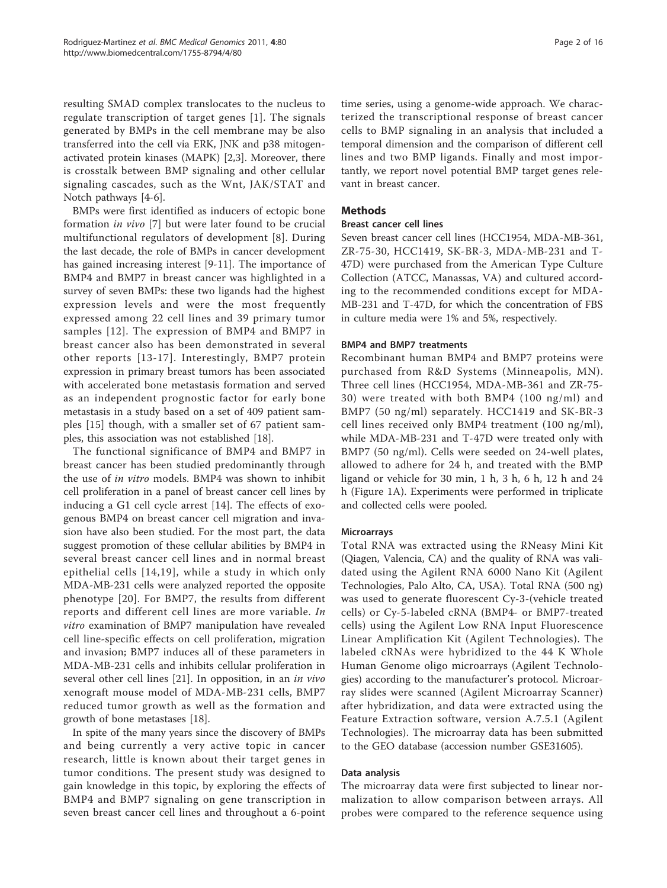resulting SMAD complex translocates to the nucleus to regulate transcription of target genes [\[1\]](#page-15-0). The signals generated by BMPs in the cell membrane may be also transferred into the cell via ERK, JNK and p38 mitogenactivated protein kinases (MAPK) [\[2,3](#page-15-0)]. Moreover, there is crosstalk between BMP signaling and other cellular signaling cascades, such as the Wnt, JAK/STAT and Notch pathways [[4-6](#page-15-0)].

BMPs were first identified as inducers of ectopic bone formation in vivo [\[7](#page-15-0)] but were later found to be crucial multifunctional regulators of development [\[8](#page-15-0)]. During the last decade, the role of BMPs in cancer development has gained increasing interest [[9-11](#page-15-0)]. The importance of BMP4 and BMP7 in breast cancer was highlighted in a survey of seven BMPs: these two ligands had the highest expression levels and were the most frequently expressed among 22 cell lines and 39 primary tumor samples [\[12\]](#page-15-0). The expression of BMP4 and BMP7 in breast cancer also has been demonstrated in several other reports [[13-17](#page-15-0)]. Interestingly, BMP7 protein expression in primary breast tumors has been associated with accelerated bone metastasis formation and served as an independent prognostic factor for early bone metastasis in a study based on a set of 409 patient samples [[15](#page-15-0)] though, with a smaller set of 67 patient samples, this association was not established [[18](#page-15-0)].

The functional significance of BMP4 and BMP7 in breast cancer has been studied predominantly through the use of in vitro models. BMP4 was shown to inhibit cell proliferation in a panel of breast cancer cell lines by inducing a G1 cell cycle arrest [[14](#page-15-0)]. The effects of exogenous BMP4 on breast cancer cell migration and invasion have also been studied. For the most part, the data suggest promotion of these cellular abilities by BMP4 in several breast cancer cell lines and in normal breast epithelial cells [[14](#page-15-0),[19\]](#page-15-0), while a study in which only MDA-MB-231 cells were analyzed reported the opposite phenotype [[20](#page-15-0)]. For BMP7, the results from different reports and different cell lines are more variable. In vitro examination of BMP7 manipulation have revealed cell line-specific effects on cell proliferation, migration and invasion; BMP7 induces all of these parameters in MDA-MB-231 cells and inhibits cellular proliferation in several other cell lines [[21\]](#page-15-0). In opposition, in an in vivo xenograft mouse model of MDA-MB-231 cells, BMP7 reduced tumor growth as well as the formation and growth of bone metastases [[18](#page-15-0)].

In spite of the many years since the discovery of BMPs and being currently a very active topic in cancer research, little is known about their target genes in tumor conditions. The present study was designed to gain knowledge in this topic, by exploring the effects of BMP4 and BMP7 signaling on gene transcription in seven breast cancer cell lines and throughout a 6-point

time series, using a genome-wide approach. We characterized the transcriptional response of breast cancer cells to BMP signaling in an analysis that included a temporal dimension and the comparison of different cell lines and two BMP ligands. Finally and most importantly, we report novel potential BMP target genes relevant in breast cancer.

# Methods

# Breast cancer cell lines

Seven breast cancer cell lines (HCC1954, MDA-MB-361, ZR-75-30, HCC1419, SK-BR-3, MDA-MB-231 and T-47D) were purchased from the American Type Culture Collection (ATCC, Manassas, VA) and cultured according to the recommended conditions except for MDA-MB-231 and T-47D, for which the concentration of FBS in culture media were 1% and 5%, respectively.

# BMP4 and BMP7 treatments

Recombinant human BMP4 and BMP7 proteins were purchased from R&D Systems (Minneapolis, MN). Three cell lines (HCC1954, MDA-MB-361 and ZR-75- 30) were treated with both BMP4 (100 ng/ml) and BMP7 (50 ng/ml) separately. HCC1419 and SK-BR-3 cell lines received only BMP4 treatment (100 ng/ml), while MDA-MB-231 and T-47D were treated only with BMP7 (50 ng/ml). Cells were seeded on 24-well plates, allowed to adhere for 24 h, and treated with the BMP ligand or vehicle for 30 min, 1 h, 3 h, 6 h, 12 h and 24 h (Figure [1A\)](#page-3-0). Experiments were performed in triplicate and collected cells were pooled.

# **Microarrays**

Total RNA was extracted using the RNeasy Mini Kit (Qiagen, Valencia, CA) and the quality of RNA was validated using the Agilent RNA 6000 Nano Kit (Agilent Technologies, Palo Alto, CA, USA). Total RNA (500 ng) was used to generate fluorescent Cy-3-(vehicle treated cells) or Cy-5-labeled cRNA (BMP4- or BMP7-treated cells) using the Agilent Low RNA Input Fluorescence Linear Amplification Kit (Agilent Technologies). The labeled cRNAs were hybridized to the 44 K Whole Human Genome oligo microarrays (Agilent Technologies) according to the manufacturer's protocol. Microarray slides were scanned (Agilent Microarray Scanner) after hybridization, and data were extracted using the Feature Extraction software, version A.7.5.1 (Agilent Technologies). The microarray data has been submitted to the GEO database (accession number GSE31605).

# Data analysis

The microarray data were first subjected to linear normalization to allow comparison between arrays. All probes were compared to the reference sequence using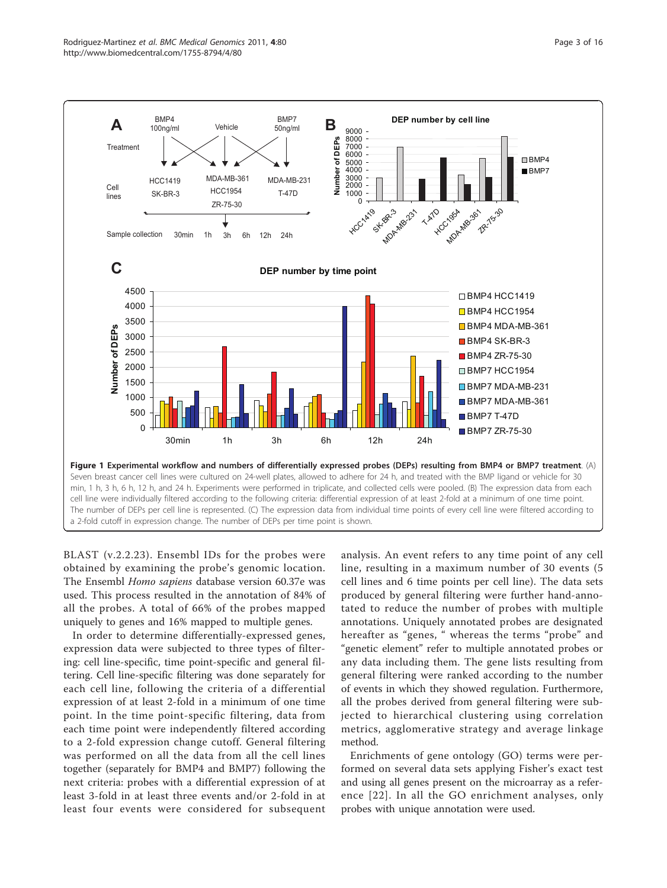<span id="page-3-0"></span>

BLAST (v.2.2.23). Ensembl IDs for the probes were obtained by examining the probe's genomic location. The Ensembl Homo sapiens database version 60.37e was used. This process resulted in the annotation of 84% of all the probes. A total of 66% of the probes mapped uniquely to genes and 16% mapped to multiple genes.

In order to determine differentially-expressed genes, expression data were subjected to three types of filtering: cell line-specific, time point-specific and general filtering. Cell line-specific filtering was done separately for each cell line, following the criteria of a differential expression of at least 2-fold in a minimum of one time point. In the time point-specific filtering, data from each time point were independently filtered according to a 2-fold expression change cutoff. General filtering was performed on all the data from all the cell lines together (separately for BMP4 and BMP7) following the next criteria: probes with a differential expression of at least 3-fold in at least three events and/or 2-fold in at least four events were considered for subsequent

analysis. An event refers to any time point of any cell line, resulting in a maximum number of 30 events (5 cell lines and 6 time points per cell line). The data sets produced by general filtering were further hand-annotated to reduce the number of probes with multiple annotations. Uniquely annotated probes are designated hereafter as "genes, " whereas the terms "probe" and "genetic element" refer to multiple annotated probes or any data including them. The gene lists resulting from general filtering were ranked according to the number of events in which they showed regulation. Furthermore, all the probes derived from general filtering were subjected to hierarchical clustering using correlation metrics, agglomerative strategy and average linkage method.

Enrichments of gene ontology (GO) terms were performed on several data sets applying Fisher's exact test and using all genes present on the microarray as a reference [[22\]](#page-15-0). In all the GO enrichment analyses, only probes with unique annotation were used.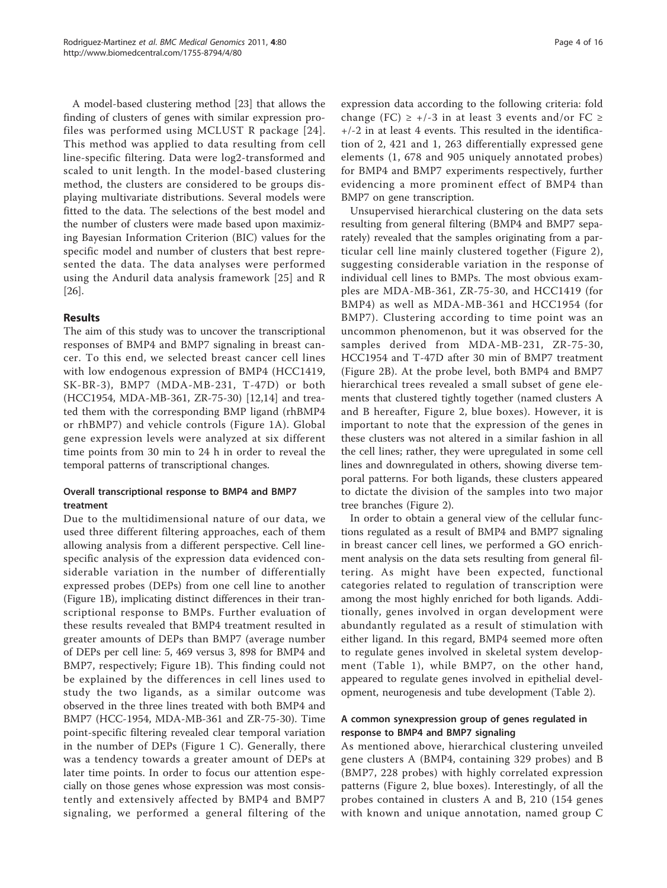A model-based clustering method [[23\]](#page-15-0) that allows the finding of clusters of genes with similar expression profiles was performed using MCLUST R package [[24\]](#page-15-0). This method was applied to data resulting from cell line-specific filtering. Data were log2-transformed and scaled to unit length. In the model-based clustering method, the clusters are considered to be groups displaying multivariate distributions. Several models were fitted to the data. The selections of the best model and the number of clusters were made based upon maximizing Bayesian Information Criterion (BIC) values for the specific model and number of clusters that best represented the data. The data analyses were performed using the Anduril data analysis framework [[25](#page-15-0)] and R [[26\]](#page-16-0).

# Results

The aim of this study was to uncover the transcriptional responses of BMP4 and BMP7 signaling in breast cancer. To this end, we selected breast cancer cell lines with low endogenous expression of BMP4 (HCC1419, SK-BR-3), BMP7 (MDA-MB-231, T-47D) or both (HCC1954, MDA-MB-361, ZR-75-30) [[12,14](#page-15-0)] and treated them with the corresponding BMP ligand (rhBMP4 or rhBMP7) and vehicle controls (Figure [1A\)](#page-3-0). Global gene expression levels were analyzed at six different time points from 30 min to 24 h in order to reveal the temporal patterns of transcriptional changes.

# Overall transcriptional response to BMP4 and BMP7 treatment

Due to the multidimensional nature of our data, we used three different filtering approaches, each of them allowing analysis from a different perspective. Cell linespecific analysis of the expression data evidenced considerable variation in the number of differentially expressed probes (DEPs) from one cell line to another (Figure [1B](#page-3-0)), implicating distinct differences in their transcriptional response to BMPs. Further evaluation of these results revealed that BMP4 treatment resulted in greater amounts of DEPs than BMP7 (average number of DEPs per cell line: 5, 469 versus 3, 898 for BMP4 and BMP7, respectively; Figure [1B\)](#page-3-0). This finding could not be explained by the differences in cell lines used to study the two ligands, as a similar outcome was observed in the three lines treated with both BMP4 and BMP7 (HCC-1954, MDA-MB-361 and ZR-75-30). Time point-specific filtering revealed clear temporal variation in the number of DEPs (Figure [1 C\)](#page-3-0). Generally, there was a tendency towards a greater amount of DEPs at later time points. In order to focus our attention especially on those genes whose expression was most consistently and extensively affected by BMP4 and BMP7 signaling, we performed a general filtering of the

expression data according to the following criteria: fold change (FC)  $\geq$  +/-3 in at least 3 events and/or FC  $\geq$ +/-2 in at least 4 events. This resulted in the identification of 2, 421 and 1, 263 differentially expressed gene elements (1, 678 and 905 uniquely annotated probes) for BMP4 and BMP7 experiments respectively, further evidencing a more prominent effect of BMP4 than BMP7 on gene transcription.

Unsupervised hierarchical clustering on the data sets resulting from general filtering (BMP4 and BMP7 separately) revealed that the samples originating from a particular cell line mainly clustered together (Figure [2\)](#page-5-0), suggesting considerable variation in the response of individual cell lines to BMPs. The most obvious examples are MDA-MB-361, ZR-75-30, and HCC1419 (for BMP4) as well as MDA-MB-361 and HCC1954 (for BMP7). Clustering according to time point was an uncommon phenomenon, but it was observed for the samples derived from MDA-MB-231, ZR-75-30, HCC1954 and T-47D after 30 min of BMP7 treatment (Figure [2B](#page-5-0)). At the probe level, both BMP4 and BMP7 hierarchical trees revealed a small subset of gene elements that clustered tightly together (named clusters A and B hereafter, Figure [2](#page-5-0), blue boxes). However, it is important to note that the expression of the genes in these clusters was not altered in a similar fashion in all the cell lines; rather, they were upregulated in some cell lines and downregulated in others, showing diverse temporal patterns. For both ligands, these clusters appeared to dictate the division of the samples into two major tree branches (Figure [2](#page-5-0)).

In order to obtain a general view of the cellular functions regulated as a result of BMP4 and BMP7 signaling in breast cancer cell lines, we performed a GO enrichment analysis on the data sets resulting from general filtering. As might have been expected, functional categories related to regulation of transcription were among the most highly enriched for both ligands. Additionally, genes involved in organ development were abundantly regulated as a result of stimulation with either ligand. In this regard, BMP4 seemed more often to regulate genes involved in skeletal system development (Table [1\)](#page-6-0), while BMP7, on the other hand, appeared to regulate genes involved in epithelial development, neurogenesis and tube development (Table [2](#page-6-0)).

# A common synexpression group of genes regulated in response to BMP4 and BMP7 signaling

As mentioned above, hierarchical clustering unveiled gene clusters A (BMP4, containing 329 probes) and B (BMP7, 228 probes) with highly correlated expression patterns (Figure [2](#page-5-0), blue boxes). Interestingly, of all the probes contained in clusters A and B, 210 (154 genes with known and unique annotation, named group C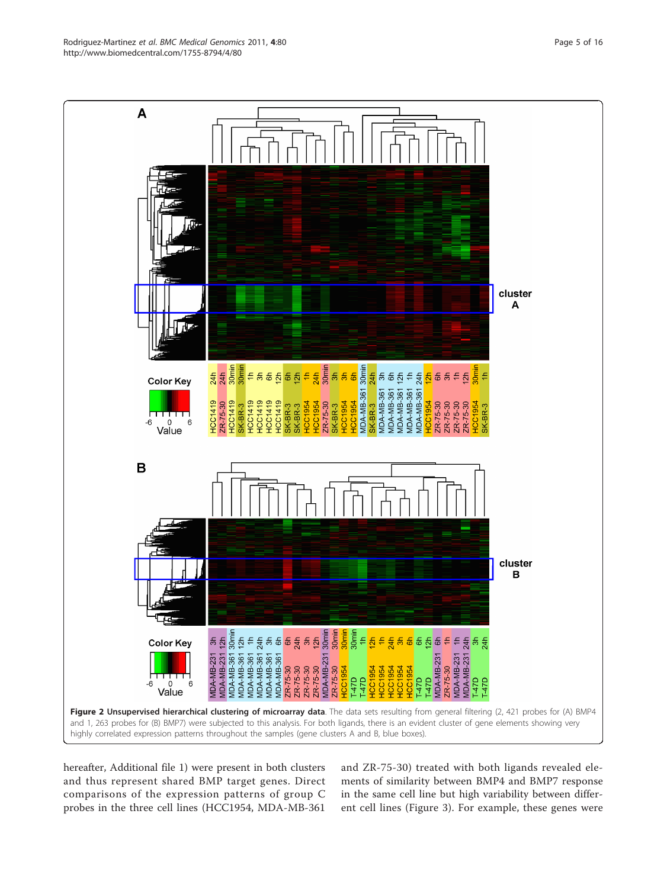hereafter, Additional file [1\)](#page-15-0) were present in both clusters and thus represent shared BMP target genes. Direct comparisons of the expression patterns of group C probes in the three cell lines (HCC1954, MDA-MB-361 and ZR-75-30) treated with both ligands revealed elements of similarity between BMP4 and BMP7 response in the same cell line but high variability between different cell lines (Figure [3](#page-7-0)). For example, these genes were

<span id="page-5-0"></span>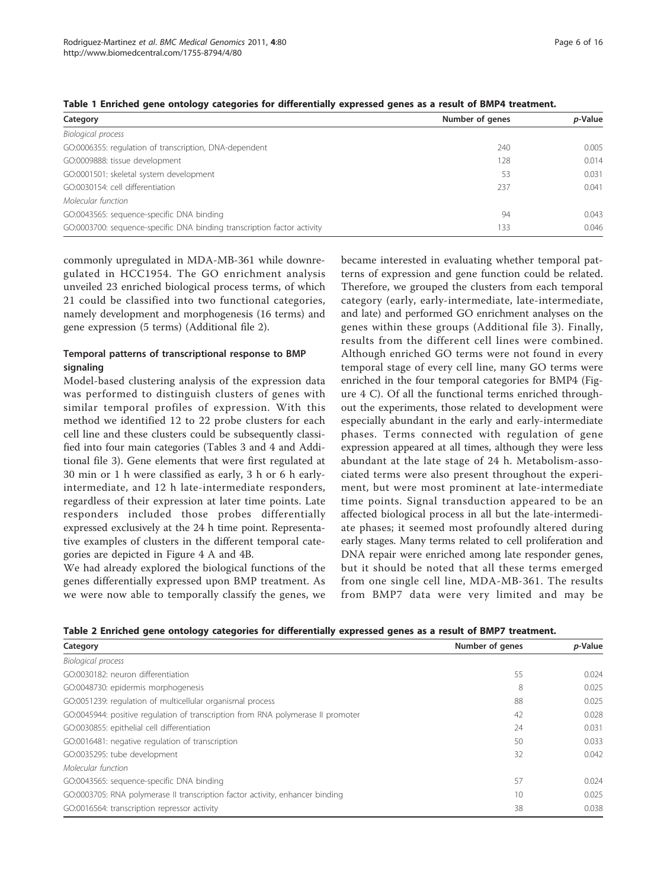| Category                                                                | Number of genes | <i>p</i> -Value |  |
|-------------------------------------------------------------------------|-----------------|-----------------|--|
| Biological process                                                      |                 |                 |  |
| GO:0006355: regulation of transcription, DNA-dependent                  | 740             | 0.005           |  |
| GO:0009888: tissue development                                          | 128             | 0.014           |  |
| GO:0001501: skeletal system development                                 | 53              | 0.031           |  |
| GO:0030154: cell differentiation                                        | 237             | 0.041           |  |
| Molecular function                                                      |                 |                 |  |
| GO:0043565: sequence-specific DNA binding                               | 94              | 0.043           |  |
| GO:0003700: sequence-specific DNA binding transcription factor activity | 133             | 0.046           |  |

<span id="page-6-0"></span>Table 1 Enriched gene ontology categories for differentially expressed genes as a result of BMP4 treatment.

commonly upregulated in MDA-MB-361 while downregulated in HCC1954. The GO enrichment analysis unveiled 23 enriched biological process terms, of which 21 could be classified into two functional categories, namely development and morphogenesis (16 terms) and gene expression (5 terms) (Additional file [2](#page-15-0)).

# Temporal patterns of transcriptional response to BMP signaling

Model-based clustering analysis of the expression data was performed to distinguish clusters of genes with similar temporal profiles of expression. With this method we identified 12 to 22 probe clusters for each cell line and these clusters could be subsequently classified into four main categories (Tables [3](#page-8-0) and [4](#page-9-0) and Additional file [3\)](#page-15-0). Gene elements that were first regulated at 30 min or 1 h were classified as early, 3 h or 6 h earlyintermediate, and 12 h late-intermediate responders, regardless of their expression at later time points. Late responders included those probes differentially expressed exclusively at the 24 h time point. Representative examples of clusters in the different temporal categories are depicted in Figure [4 A](#page-10-0) and [4B.](#page-10-0)

We had already explored the biological functions of the genes differentially expressed upon BMP treatment. As we were now able to temporally classify the genes, we became interested in evaluating whether temporal patterns of expression and gene function could be related. Therefore, we grouped the clusters from each temporal category (early, early-intermediate, late-intermediate, and late) and performed GO enrichment analyses on the genes within these groups (Additional file [3\)](#page-15-0). Finally, results from the different cell lines were combined. Although enriched GO terms were not found in every temporal stage of every cell line, many GO terms were enriched in the four temporal categories for BMP4 (Figure [4 C\)](#page-10-0). Of all the functional terms enriched throughout the experiments, those related to development were especially abundant in the early and early-intermediate phases. Terms connected with regulation of gene expression appeared at all times, although they were less abundant at the late stage of 24 h. Metabolism-associated terms were also present throughout the experiment, but were most prominent at late-intermediate time points. Signal transduction appeared to be an affected biological process in all but the late-intermediate phases; it seemed most profoundly altered during early stages. Many terms related to cell proliferation and DNA repair were enriched among late responder genes, but it should be noted that all these terms emerged from one single cell line, MDA-MB-361. The results from BMP7 data were very limited and may be

| Category                                                                         | Number of genes | p-Value |
|----------------------------------------------------------------------------------|-----------------|---------|
| <b>Biological process</b>                                                        |                 |         |
| GO:0030182: neuron differentiation                                               | 55              | 0.024   |
| GO:0048730: epidermis morphogenesis                                              | 8               | 0.025   |
| GO:0051239: regulation of multicellular organismal process                       | 88              | 0.025   |
| GO:0045944: positive regulation of transcription from RNA polymerase II promoter | 42              | 0.028   |
| GO:0030855: epithelial cell differentiation                                      | 24              | 0.031   |
| GO:0016481: negative regulation of transcription                                 | 50              | 0.033   |
| GO:0035295: tube development                                                     | 32              | 0.042   |
| Molecular function                                                               |                 |         |
| GO:0043565: sequence-specific DNA binding                                        | 57              | 0.024   |
| GO:0003705: RNA polymerase II transcription factor activity, enhancer binding    | 10              | 0.025   |
| GO:0016564: transcription repressor activity                                     | 38              | 0.038   |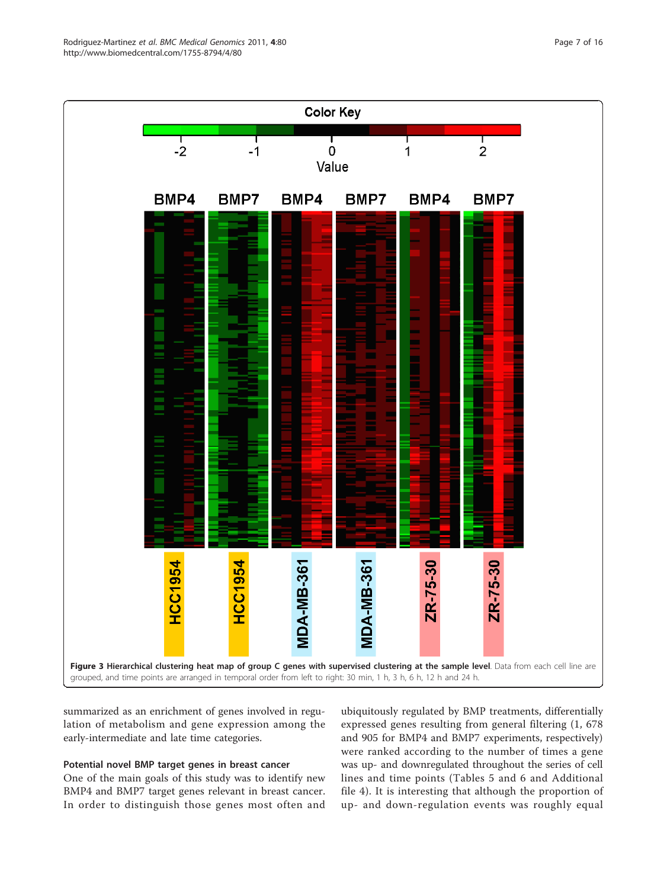<span id="page-7-0"></span>

summarized as an enrichment of genes involved in regulation of metabolism and gene expression among the early-intermediate and late time categories.

# Potential novel BMP target genes in breast cancer

One of the main goals of this study was to identify new BMP4 and BMP7 target genes relevant in breast cancer. In order to distinguish those genes most often and

ubiquitously regulated by BMP treatments, differentially expressed genes resulting from general filtering (1, 678 and 905 for BMP4 and BMP7 experiments, respectively) were ranked according to the number of times a gene was up- and downregulated throughout the series of cell lines and time points (Tables [5](#page-11-0) and [6](#page-13-0) and Additional file [4](#page-15-0)). It is interesting that although the proportion of up- and down-regulation events was roughly equal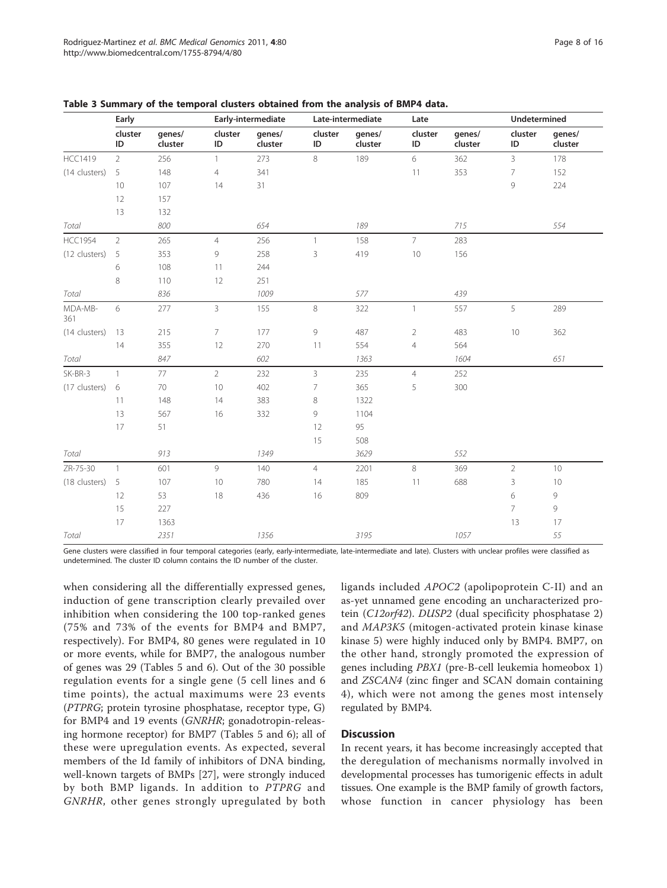|                | Early          |                   |                | Early-intermediate |                | Late-intermediate |                |                   | Undetermined   |                   |  |
|----------------|----------------|-------------------|----------------|--------------------|----------------|-------------------|----------------|-------------------|----------------|-------------------|--|
|                | cluster<br>ID  | genes/<br>cluster | cluster<br>ID  | genes/<br>cluster  | cluster<br>ID  | genes/<br>cluster | cluster<br>ID  | genes/<br>cluster | cluster<br>ID  | genes/<br>cluster |  |
| <b>HCC1419</b> | $\overline{2}$ | 256               | $\mathbf{1}$   | 273                | $\,8\,$        | 189               | 6              | 362               | 3              | 178               |  |
| (14 clusters)  | 5              | 148               | $\overline{4}$ | 341                |                |                   | 11             | 353               | $\overline{7}$ | 152               |  |
|                | 10             | 107               | 14             | 31                 |                |                   |                |                   | 9              | 224               |  |
|                | 12             | 157               |                |                    |                |                   |                |                   |                |                   |  |
|                | 13             | 132               |                |                    |                |                   |                |                   |                |                   |  |
| Total          |                | 800               |                | 654                |                | 189               |                | 715               |                | 554               |  |
| <b>HCC1954</b> | $\overline{2}$ | 265               | $\overline{4}$ | 256                | $\mathbf{1}$   | 158               | $\overline{7}$ | 283               |                |                   |  |
| (12 clusters)  | 5              | 353               | 9              | 258                | 3              | 419               | 10             | 156               |                |                   |  |
|                | 6              | 108               | 11             | 244                |                |                   |                |                   |                |                   |  |
|                | 8              | 110               | 12             | 251                |                |                   |                |                   |                |                   |  |
| Total          |                | 836               |                | 1009               |                | 577               |                | 439               |                |                   |  |
| MDA-MB-<br>361 | 6              | 277               | $\mathsf{3}$   | 155                | $\,8\,$        | 322               | $\mathbf{1}$   | 557               | 5              | 289               |  |
| (14 clusters)  | 13             | 215               | $\overline{7}$ | 177                | 9              | 487               | $\overline{2}$ | 483               | 10             | 362               |  |
|                | 14             | 355               | 12             | 270                | 11             | 554               | $\overline{4}$ | 564               |                |                   |  |
| Total          |                | 847               |                | 602                |                | 1363              |                | 1604              |                | 651               |  |
| SK-BR-3        | $\overline{1}$ | 77                | $\overline{2}$ | 232                | 3              | 235               | $\overline{4}$ | 252               |                |                   |  |
| (17 clusters)  | 6              | 70                | 10             | 402                | $\overline{7}$ | 365               | 5              | 300               |                |                   |  |
|                | 11             | 148               | 14             | 383                | $\,8\,$        | 1322              |                |                   |                |                   |  |
|                | 13             | 567               | 16             | 332                | 9              | 1104              |                |                   |                |                   |  |
|                | 17             | 51                |                |                    | 12             | 95                |                |                   |                |                   |  |
|                |                |                   |                |                    | 15             | 508               |                |                   |                |                   |  |
| Total          |                | 913               |                | 1349               |                | 3629              |                | 552               |                |                   |  |
| ZR-75-30       | $\overline{1}$ | 601               | 9              | 140                | $\overline{4}$ | 2201              | 8              | 369               | $\sqrt{2}$     | 10                |  |
| (18 clusters)  | 5              | 107               | 10             | 780                | 14             | 185               | 11             | 688               | $\mathsf 3$    | 10                |  |
|                | 12             | 53                | 18             | 436                | 16             | 809               |                |                   | 6              | 9                 |  |
|                | 15             | 227               |                |                    |                |                   |                |                   | $\overline{7}$ | 9                 |  |
|                | 17             | 1363              |                |                    |                |                   |                |                   | 13             | 17                |  |
| Total          |                | 2351              |                | 1356               |                | 3195              |                | 1057              |                | 55                |  |

<span id="page-8-0"></span>

| Table 3 Summary of the temporal clusters obtained from the analysis of BMP4 data. |  |  |  |  |  |
|-----------------------------------------------------------------------------------|--|--|--|--|--|
|-----------------------------------------------------------------------------------|--|--|--|--|--|

Gene clusters were classified in four temporal categories (early-early-intermediate, late-intermediate and late). Clusters with unclear profiles were classified as undetermined. The cluster ID column contains the ID number of the cluster.

when considering all the differentially expressed genes, induction of gene transcription clearly prevailed over inhibition when considering the 100 top-ranked genes (75% and 73% of the events for BMP4 and BMP7, respectively). For BMP4, 80 genes were regulated in 10 or more events, while for BMP7, the analogous number of genes was 29 (Tables [5](#page-11-0) and [6\)](#page-13-0). Out of the 30 possible regulation events for a single gene (5 cell lines and 6 time points), the actual maximums were 23 events (PTPRG; protein tyrosine phosphatase, receptor type, G) for BMP4 and 19 events (GNRHR; gonadotropin-releasing hormone receptor) for BMP7 (Tables [5](#page-11-0) and [6](#page-13-0)); all of these were upregulation events. As expected, several members of the Id family of inhibitors of DNA binding, well-known targets of BMPs [[27](#page-16-0)], were strongly induced by both BMP ligands. In addition to PTPRG and GNRHR, other genes strongly upregulated by both

ligands included APOC2 (apolipoprotein C-II) and an as-yet unnamed gene encoding an uncharacterized protein (C12orf42). DUSP2 (dual specificity phosphatase 2) and MAP3K5 (mitogen-activated protein kinase kinase kinase 5) were highly induced only by BMP4. BMP7, on the other hand, strongly promoted the expression of genes including PBX1 (pre-B-cell leukemia homeobox 1) and ZSCAN4 (zinc finger and SCAN domain containing 4), which were not among the genes most intensely regulated by BMP4.

## **Discussion**

In recent years, it has become increasingly accepted that the deregulation of mechanisms normally involved in developmental processes has tumorigenic effects in adult tissues. One example is the BMP family of growth factors, whose function in cancer physiology has been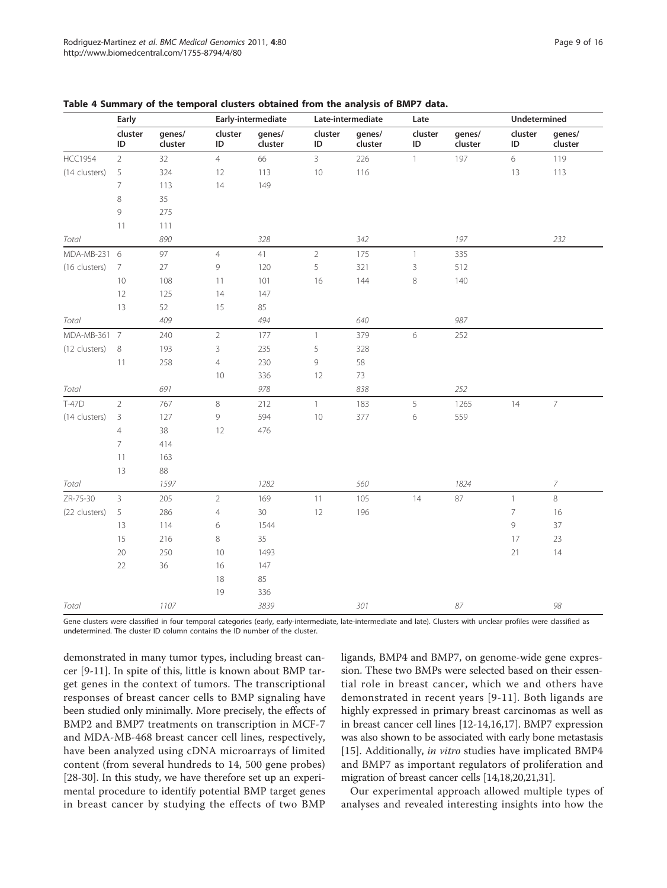|                | Early          | Early-intermediate |                                                           |                   | Late-intermediate |                   |                | Undetermined      |               |                   |
|----------------|----------------|--------------------|-----------------------------------------------------------|-------------------|-------------------|-------------------|----------------|-------------------|---------------|-------------------|
|                | cluster<br>ID  | genes/<br>cluster  | cluster<br>ID                                             | genes/<br>cluster | cluster<br>ID     | genes/<br>cluster | cluster<br>ID  | genes/<br>cluster | cluster<br>ID | genes/<br>cluster |
| <b>HCC1954</b> | $\overline{2}$ | 32                 | $\overline{4}$                                            | 66                | $\overline{3}$    | 226               | $\mathbf{1}$   | 197               | 6             | 119               |
| (14 clusters)  | 5              | 324                | 12                                                        | 113               | 10                | 116               |                |                   | 13            | 113               |
|                | 7              | 113                | 14                                                        | 149               |                   |                   |                |                   |               |                   |
|                | 8              | 35                 |                                                           |                   |                   |                   |                |                   |               |                   |
|                | 9              | 275                |                                                           |                   |                   |                   |                |                   |               |                   |
|                | $11\,$         | 111                |                                                           |                   |                   |                   |                |                   |               |                   |
| Total          |                | 890                |                                                           | 328               |                   | 342               |                | 197               |               | 232               |
| MDA-MB-231 6   |                | 97                 | $\overline{4}$                                            | 41                | $\overline{2}$    | 175               | $\overline{1}$ | 335               |               |                   |
| (16 clusters)  | 7              | $27\,$             | 9                                                         | 120               | 5                 | 321               | $\overline{3}$ | 512               |               |                   |
|                | 10             | 108                | 11                                                        | 101               | 16                | 144               | 8              | 140               |               |                   |
|                | 12             | 125                | 14                                                        | 147               |                   |                   |                |                   |               |                   |
|                | 13             | 52                 | 15                                                        | 85                |                   |                   |                |                   |               |                   |
| Total          |                | 409                |                                                           | 494               |                   | 640               |                | 987               |               |                   |
| MDA-MB-361 7   |                | 240                | $\overline{2}$                                            | 177               | $\mathbf{1}$      | 379               | 6              | 252               |               |                   |
| (12 clusters)  | 8              | 193                | 3                                                         | 235               | 5                 | 328               |                |                   |               |                   |
|                | $11$           | 258                | $\overline{4}$                                            | 230               | 9                 | 58                |                |                   |               |                   |
|                |                |                    | 10                                                        | 336               | 12                | 73                |                |                   |               |                   |
| Total          |                | 691                |                                                           | 978               |                   | 838               |                | 252               |               |                   |
| T-47D          | $\overline{2}$ | 767                | 8                                                         | 212               | $\mathbf{1}$      | 183               | 5              | 1265              | 14            | $\bar{7}$         |
| (14 clusters)  | 3              | 127                | $\mathcal{G}% _{M_{1},M_{2}}^{\alpha,\beta}(\mathcal{A})$ | 594               | 10                | 377               | 6              | 559               |               |                   |
|                | $\overline{4}$ | 38                 | 12                                                        | 476               |                   |                   |                |                   |               |                   |
|                | $\overline{7}$ | 414                |                                                           |                   |                   |                   |                |                   |               |                   |
|                | $11\,$         | 163                |                                                           |                   |                   |                   |                |                   |               |                   |
|                | 13             | 88                 |                                                           |                   |                   |                   |                |                   |               |                   |
| Total          |                | 1597               |                                                           | 1282              |                   | 560               |                | 1824              |               | 7                 |
| ZR-75-30       | $\overline{3}$ | 205                | $\mathbf 2$                                               | 169               | 11                | 105               | 14             | 87                | $\mathbf{1}$  | 8                 |
| (22 clusters)  | 5              | 286                | $\overline{4}$                                            | 30                | 12                | 196               |                |                   | 7             | 16                |
|                | 13             | 114                | 6                                                         | 1544              |                   |                   |                |                   | 9             | 37                |
|                | 15             | 216                | 8                                                         | 35                |                   |                   |                |                   | 17            | 23                |
|                | 20             | 250                | 10                                                        | 1493              |                   |                   |                |                   | 21            | 14                |
|                | 22             | 36                 | 16                                                        | 147               |                   |                   |                |                   |               |                   |
|                |                |                    | 18                                                        | 85                |                   |                   |                |                   |               |                   |
|                |                |                    | 19                                                        | 336               |                   |                   |                |                   |               |                   |
| Total          |                | 1107               |                                                           | 3839              |                   | 301               |                | 87                |               | 98                |

<span id="page-9-0"></span>

| Table 4 Summary of the temporal clusters obtained from the analysis of BMP7 data. |  |  |  |  |  |  |  |  |  |  |
|-----------------------------------------------------------------------------------|--|--|--|--|--|--|--|--|--|--|
|-----------------------------------------------------------------------------------|--|--|--|--|--|--|--|--|--|--|

Gene clusters were classified in four temporal categories (early, early-intermediate, late-intermediate and late). Clusters with unclear profiles were classified as undetermined. The cluster ID column contains the ID number of the cluster.

demonstrated in many tumor types, including breast cancer [\[9](#page-15-0)-[11](#page-15-0)]. In spite of this, little is known about BMP target genes in the context of tumors. The transcriptional responses of breast cancer cells to BMP signaling have been studied only minimally. More precisely, the effects of BMP2 and BMP7 treatments on transcription in MCF-7 and MDA-MB-468 breast cancer cell lines, respectively, have been analyzed using cDNA microarrays of limited content (from several hundreds to 14, 500 gene probes) [[28-30\]](#page-16-0). In this study, we have therefore set up an experimental procedure to identify potential BMP target genes in breast cancer by studying the effects of two BMP ligands, BMP4 and BMP7, on genome-wide gene expression. These two BMPs were selected based on their essential role in breast cancer, which we and others have demonstrated in recent years [[9](#page-15-0)-[11](#page-15-0)]. Both ligands are highly expressed in primary breast carcinomas as well as in breast cancer cell lines [\[12-14,16,17\]](#page-15-0). BMP7 expression was also shown to be associated with early bone metastasis [[15\]](#page-15-0). Additionally, *in vitro* studies have implicated BMP4 and BMP7 as important regulators of proliferation and migration of breast cancer cells [[14,18,20](#page-15-0),[21](#page-15-0)[,31\]](#page-16-0).

Our experimental approach allowed multiple types of analyses and revealed interesting insights into how the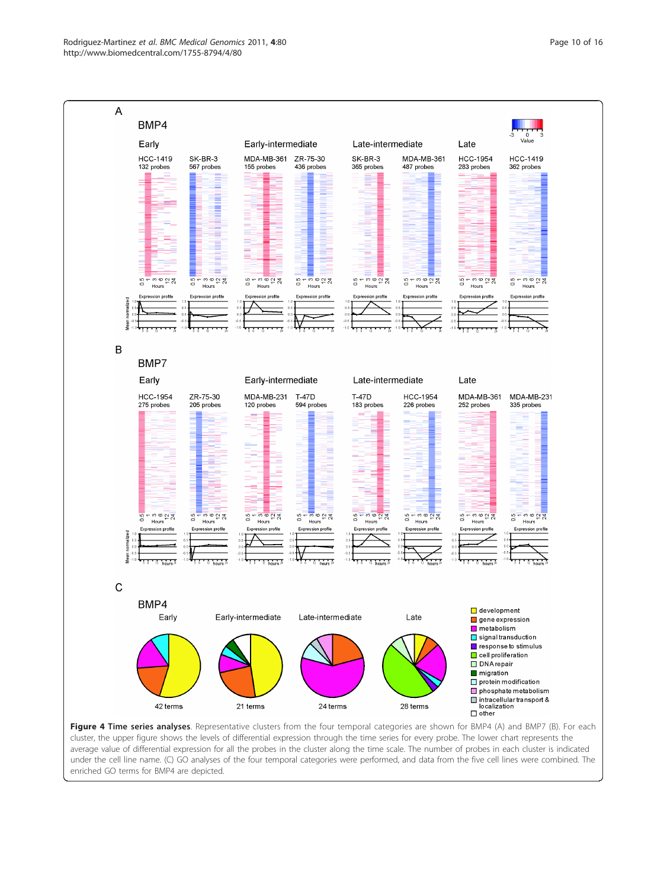<span id="page-10-0"></span>

average value of differential expression for all the probes in the cluster along the time scale. The number of probes in each cluster is indicated under the cell line name. (C) GO analyses of the four temporal categories were performed, and data from the five cell lines were combined. The enriched GO terms for BMP4 are depicted.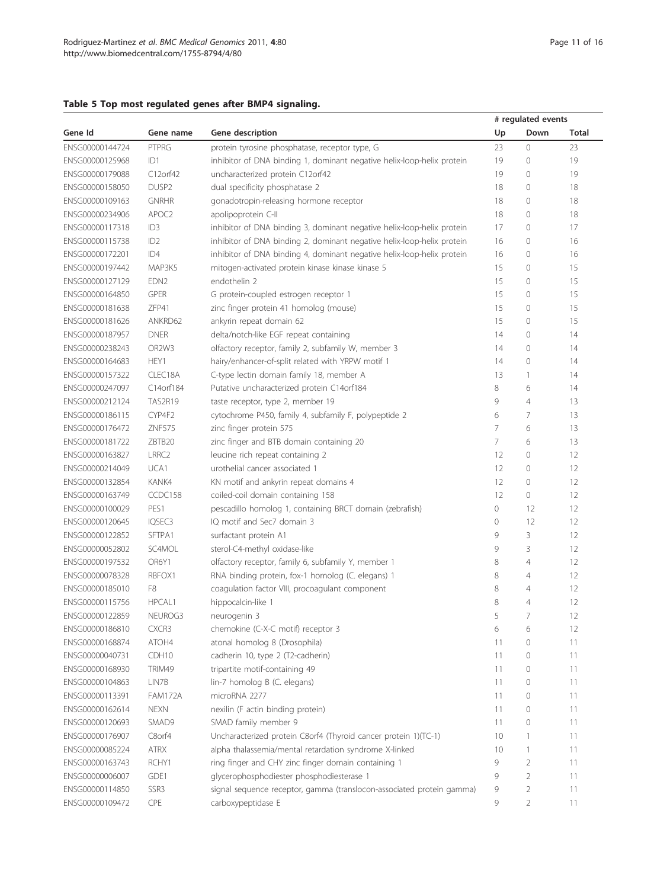# <span id="page-11-0"></span>Table 5 Top most regulated genes after BMP4 signaling.

|                 |                                |                                                                        | # regulated events |                |              |  |  |
|-----------------|--------------------------------|------------------------------------------------------------------------|--------------------|----------------|--------------|--|--|
| Gene Id         | Gene name                      | Gene description                                                       | Up                 | Down           | <b>Total</b> |  |  |
| ENSG00000144724 | PTPRG                          | protein tyrosine phosphatase, receptor type, G                         | 23                 | $\overline{0}$ | 23           |  |  |
| ENSG00000125968 | ID1                            | inhibitor of DNA binding 1, dominant negative helix-loop-helix protein | 19                 | $\overline{0}$ | 19           |  |  |
| ENSG00000179088 | C12orf42                       | uncharacterized protein C12orf42                                       | 19                 | 0              | 19           |  |  |
| ENSG00000158050 | DUSP <sub>2</sub>              | dual specificity phosphatase 2                                         | 18                 | 0              | 18           |  |  |
| ENSG00000109163 | <b>GNRHR</b>                   | gonadotropin-releasing hormone receptor                                | 18                 | 0              | 18           |  |  |
| ENSG00000234906 | APOC2                          | apolipoprotein C-II                                                    | 18                 | 0              | 18           |  |  |
| ENSG00000117318 | ID <sub>3</sub>                | inhibitor of DNA binding 3, dominant negative helix-loop-helix protein | 17                 | 0              | 17           |  |  |
| ENSG00000115738 | ID <sub>2</sub>                | inhibitor of DNA binding 2, dominant negative helix-loop-helix protein | 16                 | 0              | 16           |  |  |
| ENSG00000172201 | ID4                            | inhibitor of DNA binding 4, dominant negative helix-loop-helix protein | 16                 | 0              | 16           |  |  |
| ENSG00000197442 | MAP3K5                         | mitogen-activated protein kinase kinase kinase 5                       | 15                 | 0              | 15           |  |  |
| ENSG00000127129 | EDN <sub>2</sub>               | endothelin 2                                                           | 15                 | 0              | 15           |  |  |
| ENSG00000164850 | <b>GPER</b>                    | G protein-coupled estrogen receptor 1                                  | 15                 | 0              | 15           |  |  |
| ENSG00000181638 | ZFP41                          | zinc finger protein 41 homolog (mouse)                                 | 15                 | 0              | 15           |  |  |
| ENSG00000181626 | ANKRD62                        | ankyrin repeat domain 62                                               | 15                 | 0              | 15           |  |  |
| ENSG00000187957 | <b>DNER</b>                    | delta/notch-like EGF repeat containing                                 | 14                 | 0              | 14           |  |  |
| ENSG00000238243 | OR <sub>2</sub> W <sub>3</sub> | olfactory receptor, family 2, subfamily W, member 3                    | 14                 | 0              | 14           |  |  |
| ENSG00000164683 | HEY1                           | hairy/enhancer-of-split related with YRPW motif 1                      | 14                 | $\mathbf 0$    | 14           |  |  |
| ENSG00000157322 | CLEC18A                        | C-type lectin domain family 18, member A                               | 13                 | 1              | 14           |  |  |
| ENSG00000247097 | C14orf184                      | Putative uncharacterized protein C14orf184                             | 8                  | 6              | 14           |  |  |
| ENSG00000212124 | <b>TAS2R19</b>                 | taste receptor, type 2, member 19                                      | 9                  | $\overline{4}$ | 13           |  |  |
| ENSG00000186115 | CYP4F2                         | cytochrome P450, family 4, subfamily F, polypeptide 2                  | 6                  | 7              | 13           |  |  |
| ENSG00000176472 | ZNF575                         | zinc finger protein 575                                                | 7                  | 6              | 13           |  |  |
| ENSG00000181722 | ZBTB20                         | zinc finger and BTB domain containing 20                               | 7                  | 6              | 13           |  |  |
| ENSG00000163827 | LRRC <sub>2</sub>              | leucine rich repeat containing 2                                       | 12                 | 0              | 12           |  |  |
| ENSG00000214049 | UCA1                           | urothelial cancer associated 1                                         | 12                 | 0              | 12           |  |  |
| ENSG00000132854 | KANK4                          | KN motif and ankyrin repeat domains 4                                  | 12                 | $\circ$        | 12           |  |  |
| ENSG00000163749 | CCDC158                        | coiled-coil domain containing 158                                      | 12                 | 0              | 12           |  |  |
| ENSG00000100029 | PES1                           | pescadillo homolog 1, containing BRCT domain (zebrafish)               | 0                  | 12             | 12           |  |  |
| ENSG00000120645 | IQSEC3                         | IQ motif and Sec7 domain 3                                             | $\mathcal O$       | 12             | 12           |  |  |
| ENSG00000122852 | SFTPA1                         | surfactant protein A1                                                  | 9                  | 3              | 12           |  |  |
| ENSG00000052802 | SC4MOL                         | sterol-C4-methyl oxidase-like                                          | 9                  | 3              | 12           |  |  |
| ENSG00000197532 | OR6Y1                          | olfactory receptor, family 6, subfamily Y, member 1                    | 8                  | $\overline{4}$ | 12           |  |  |
| ENSG00000078328 | RBFOX1                         | RNA binding protein, fox-1 homolog (C. elegans) 1                      | 8                  | $\overline{4}$ | 12           |  |  |
| ENSG00000185010 | F8                             | coagulation factor VIII, procoagulant component                        | 8                  | $\overline{4}$ | 12           |  |  |
| ENSG00000115756 | HPCAL1                         | hippocalcin-like 1                                                     | 8                  | $\overline{4}$ | 12           |  |  |
| ENSG00000122859 | NEUROG3                        | neurogenin 3                                                           | 5                  | 7              | 12           |  |  |
| ENSG00000186810 | CXCR3                          | chemokine (C-X-C motif) receptor 3                                     | 6                  | 6              | 12           |  |  |
| ENSG00000168874 | ATOH4                          | atonal homolog 8 (Drosophila)                                          | 11                 | 0              | 11           |  |  |
| ENSG00000040731 | CDH <sub>10</sub>              | cadherin 10, type 2 (T2-cadherin)                                      | 11                 | 0              | 11           |  |  |
| ENSG00000168930 | TRIM49                         | tripartite motif-containing 49                                         | 11                 | 0              | 11           |  |  |
| ENSG00000104863 | LIN7B                          | lin-7 homolog B (C. elegans)                                           | 11                 | 0              | 11           |  |  |
| ENSG00000113391 | <b>FAM172A</b>                 | microRNA 2277                                                          | 11                 | 0              | 11           |  |  |
| ENSG00000162614 | <b>NEXN</b>                    | nexilin (F actin binding protein)                                      | 11                 | 0              | 11           |  |  |
| ENSG00000120693 | SMAD9                          | SMAD family member 9                                                   | 11                 | 0              | 11           |  |  |
| ENSG00000176907 | C8orf4                         | Uncharacterized protein C8orf4 (Thyroid cancer protein 1)(TC-1)        | 10                 | $\mathbf{1}$   | 11           |  |  |
| ENSG00000085224 | <b>ATRX</b>                    | alpha thalassemia/mental retardation syndrome X-linked                 | 10                 | 1              | 11           |  |  |
| ENSG00000163743 | RCHY1                          | ring finger and CHY zinc finger domain containing 1                    | 9                  | $\overline{2}$ | 11           |  |  |
| ENSG00000006007 | GDE1                           | glycerophosphodiester phosphodiesterase 1                              | 9                  | $\overline{2}$ | 11           |  |  |
| ENSG00000114850 | SSR3                           | signal sequence receptor, gamma (translocon-associated protein gamma)  | 9                  | $\overline{2}$ | 11           |  |  |
| ENSG00000109472 | CPE                            | carboxypeptidase E                                                     | 9                  | $\overline{2}$ | 11           |  |  |
|                 |                                |                                                                        |                    |                |              |  |  |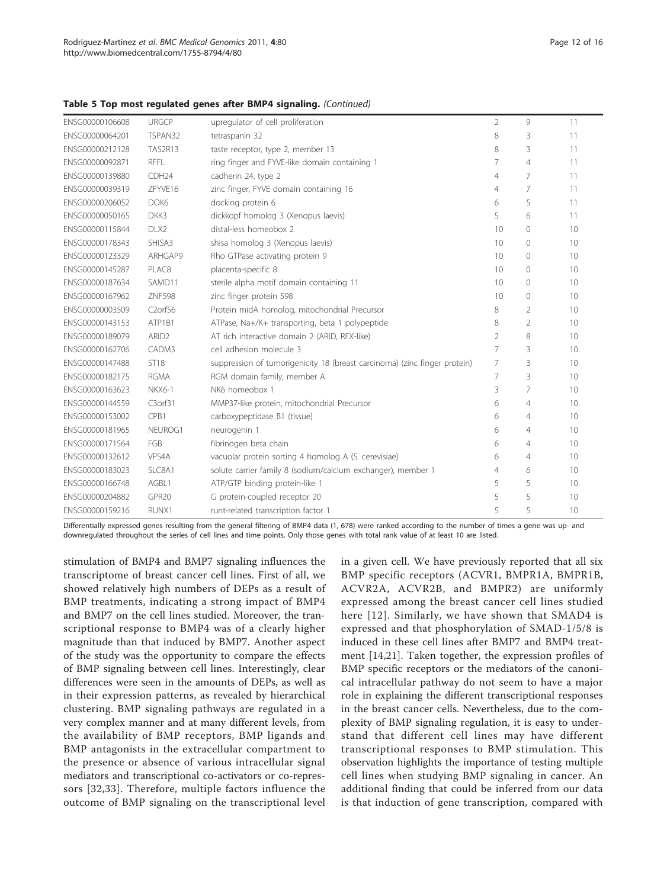| ENSG00000106608 | <b>URGCP</b>                     |                                                                           | $\overline{2}$ | 9              | 11 |
|-----------------|----------------------------------|---------------------------------------------------------------------------|----------------|----------------|----|
|                 |                                  | upregulator of cell proliferation                                         |                |                |    |
| ENSG00000064201 | TSPAN32                          | tetraspanin 32                                                            | 8              | 3              | 11 |
| ENSG00000212128 | <b>TAS2R13</b>                   | taste receptor, type 2, member 13                                         | 8              | 3              | 11 |
| ENSG00000092871 | <b>RFFL</b>                      | ring finger and FYVE-like domain containing 1                             | 7              | 4              | 11 |
| ENSG00000139880 | CDH <sub>24</sub>                | cadherin 24, type 2                                                       | $\overline{4}$ | 7              | 11 |
| ENSG00000039319 | ZFYVE16                          | zinc finger, FYVE domain containing 16                                    | $\overline{4}$ | 7              | 11 |
| ENSG00000206052 | DOK6                             | docking protein 6                                                         | 6              | 5              | 11 |
| ENSG00000050165 | DKK3                             | dickkopf homolog 3 (Xenopus laevis)                                       | 5              | 6              | 11 |
| ENSG00000115844 | DLX2                             | distal-less homeobox 2                                                    | 10             | $\mathbf{0}$   | 10 |
| ENSG00000178343 | SHISA3                           | shisa homolog 3 (Xenopus laevis)                                          | 10             | $\mathbf{0}$   | 10 |
| ENSG00000123329 | ARHGAP9                          | Rho GTPase activating protein 9                                           | 10             | $\circ$        | 10 |
| ENSG00000145287 | PLAC8                            | placenta-specific 8                                                       | 10             | $\mathbf{0}$   | 10 |
| ENSG00000187634 | SAMD11                           | sterile alpha motif domain containing 11                                  | 10             | $\circ$        | 10 |
| ENSG00000167962 | <b>ZNF598</b>                    | zinc finger protein 598                                                   | 10             | $\circ$        | 10 |
| ENSG00000003509 | C <sub>2</sub> orf <sub>56</sub> | Protein midA homolog, mitochondrial Precursor                             | 8              | 2              | 10 |
| ENSG00000143153 | ATP1B1                           | ATPase, Na+/K+ transporting, beta 1 polypeptide                           | 8              | $\overline{2}$ | 10 |
| ENSG00000189079 | ARID <sub>2</sub>                | AT rich interactive domain 2 (ARID, RFX-like)                             | $\overline{2}$ | 8              | 10 |
| ENSG00000162706 | CADM3                            | cell adhesion molecule 3                                                  | 7              | 3              | 10 |
| ENSG00000147488 | <b>ST18</b>                      | suppression of tumorigenicity 18 (breast carcinoma) (zinc finger protein) | $\overline{7}$ | 3              | 10 |
| ENSG00000182175 | <b>RGMA</b>                      | RGM domain family, member A                                               | $\overline{7}$ | 3              | 10 |
| ENSG00000163623 | <b>NKX6-1</b>                    | NK6 homeobox 1                                                            | 3              | 7              | 10 |
| ENSG00000144559 | C3orf31                          | MMP37-like protein, mitochondrial Precursor                               | 6              | 4              | 10 |
| ENSG00000153002 | CPB1                             | carboxypeptidase B1 (tissue)                                              | 6              | 4              | 10 |
| ENSG00000181965 | NEUROG1                          | neurogenin 1                                                              | 6              | 4              | 10 |
| ENSG00000171564 | FGB                              | fibrinogen beta chain                                                     | 6              | $\overline{4}$ | 10 |
| ENSG00000132612 | VPS4A                            | vacuolar protein sorting 4 homolog A (S. cerevisiae)                      | 6              | 4              | 10 |
| ENSG00000183023 | SLC8A1                           | solute carrier family 8 (sodium/calcium exchanger), member 1              | $\overline{4}$ | 6              | 10 |
| ENSG00000166748 | AGBL1                            | ATP/GTP binding protein-like 1                                            | 5              | 5              | 10 |
| ENSG00000204882 | GPR20                            | G protein-coupled receptor 20                                             | 5              | 5              | 10 |
| ENSG00000159216 | RUNX1                            | runt-related transcription factor 1                                       | 5              | 5              | 10 |

## Table 5 Top most regulated genes after BMP4 signaling. (Continued)

Differentially expressed genes resulting from the general filtering of BMP4 data (1, 678) were ranked according to the number of times a gene was up- and downregulated throughout the series of cell lines and time points. Only those genes with total rank value of at least 10 are listed.

stimulation of BMP4 and BMP7 signaling influences the transcriptome of breast cancer cell lines. First of all, we showed relatively high numbers of DEPs as a result of BMP treatments, indicating a strong impact of BMP4 and BMP7 on the cell lines studied. Moreover, the transcriptional response to BMP4 was of a clearly higher magnitude than that induced by BMP7. Another aspect of the study was the opportunity to compare the effects of BMP signaling between cell lines. Interestingly, clear differences were seen in the amounts of DEPs, as well as in their expression patterns, as revealed by hierarchical clustering. BMP signaling pathways are regulated in a very complex manner and at many different levels, from the availability of BMP receptors, BMP ligands and BMP antagonists in the extracellular compartment to the presence or absence of various intracellular signal mediators and transcriptional co-activators or co-repressors [[32](#page-16-0),[33](#page-16-0)]. Therefore, multiple factors influence the outcome of BMP signaling on the transcriptional level

in a given cell. We have previously reported that all six BMP specific receptors (ACVR1, BMPR1A, BMPR1B, ACVR2A, ACVR2B, and BMPR2) are uniformly expressed among the breast cancer cell lines studied here [[12](#page-15-0)]. Similarly, we have shown that SMAD4 is expressed and that phosphorylation of SMAD-1/5/8 is induced in these cell lines after BMP7 and BMP4 treatment [[14,21\]](#page-15-0). Taken together, the expression profiles of BMP specific receptors or the mediators of the canonical intracellular pathway do not seem to have a major role in explaining the different transcriptional responses in the breast cancer cells. Nevertheless, due to the complexity of BMP signaling regulation, it is easy to understand that different cell lines may have different transcriptional responses to BMP stimulation. This observation highlights the importance of testing multiple cell lines when studying BMP signaling in cancer. An additional finding that could be inferred from our data is that induction of gene transcription, compared with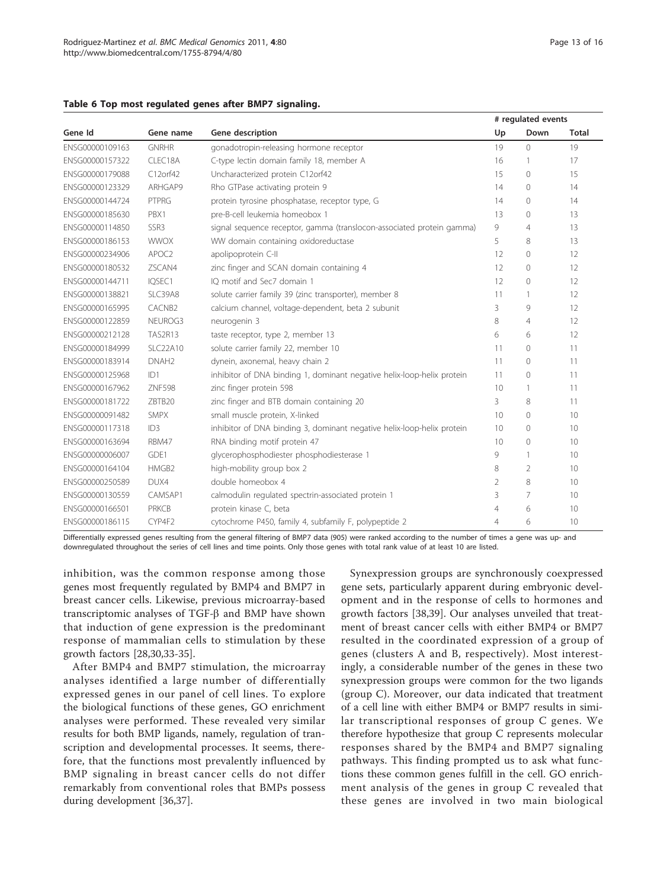## Page 13 of 16

<span id="page-13-0"></span>

| Table 6 Top most regulated genes after BMP7 signaling. |  |  |
|--------------------------------------------------------|--|--|
|--------------------------------------------------------|--|--|

|                 |                   |                                                                        | # regulated events |                |              |
|-----------------|-------------------|------------------------------------------------------------------------|--------------------|----------------|--------------|
| Gene Id         | Gene name         | Gene description                                                       | Up                 | Down           | <b>Total</b> |
| ENSG00000109163 | <b>GNRHR</b>      | gonadotropin-releasing hormone receptor                                | 19                 | $\Omega$       | 19           |
| ENSG00000157322 | CLEC18A           | C-type lectin domain family 18, member A                               | 16                 | 1              | 17           |
| ENSG00000179088 | C12orf42          | Uncharacterized protein C12orf42                                       | 15                 | 0              | 15           |
| ENSG00000123329 | ARHGAP9           | Rho GTPase activating protein 9                                        | 14                 | $\overline{0}$ | 14           |
| ENSG00000144724 | PTPRG             | protein tyrosine phosphatase, receptor type, G                         | 14                 | $\Omega$       | 14           |
| ENSG00000185630 | PBX1              | pre-B-cell leukemia homeobox 1                                         | 13                 | $\overline{0}$ | 13           |
| ENSG00000114850 | SSR3              | signal sequence receptor, gamma (translocon-associated protein gamma)  | 9                  | 4              | 13           |
| ENSG00000186153 | <b>WWOX</b>       | WW domain containing oxidoreductase                                    | 5                  | 8              | 13           |
| ENSG00000234906 | APOC2             | apolipoprotein C-II                                                    | 12                 | $\overline{0}$ | 12           |
| ENSG00000180532 | ZSCAN4            | zinc finger and SCAN domain containing 4                               | 12                 | 0              | 12           |
| ENSG00000144711 | IQSEC1            | IO motif and Sec7 domain 1                                             | 12                 | $\overline{0}$ | 12           |
| ENSG00000138821 | SLC39A8           | solute carrier family 39 (zinc transporter), member 8                  | 11                 | 1              | 12           |
| ENSG00000165995 | CACNB2            | calcium channel, voltage-dependent, beta 2 subunit                     | 3                  | 9              | 12           |
| ENSG00000122859 | NEUROG3           | neurogenin 3                                                           | 8                  | $\overline{4}$ | 12           |
| ENSG00000212128 | <b>TAS2R13</b>    | taste receptor, type 2, member 13                                      | 6                  | 6              | 12           |
| ENSG00000184999 | <b>SLC22A10</b>   | solute carrier family 22, member 10                                    | 11                 | $\overline{0}$ | 11           |
| ENSG00000183914 | DNAH <sub>2</sub> | dynein, axonemal, heavy chain 2                                        | 11                 | $\overline{0}$ | 11           |
| ENSG00000125968 | ID1               | inhibitor of DNA binding 1, dominant negative helix-loop-helix protein | 11                 | $\overline{0}$ | 11           |
| ENSG00000167962 | <b>ZNF598</b>     | zinc finger protein 598                                                | 10                 | 1              | 11           |
| ENSG00000181722 | ZBTB20            | zinc finger and BTB domain containing 20                               | 3                  | 8              | 11           |
| ENSG00000091482 | <b>SMPX</b>       | small muscle protein, X-linked                                         | 10                 | 0              | 10           |
| ENSG00000117318 | ID3               | inhibitor of DNA binding 3, dominant negative helix-loop-helix protein | 10                 | $\Omega$       | 10           |
| ENSG00000163694 | RBM47             | RNA binding motif protein 47                                           | 10                 | $\overline{0}$ | 10           |
| ENSG00000006007 | GDE1              | glycerophosphodiester phosphodiesterase 1                              | 9                  | 1              | 10           |
| ENSG00000164104 | HMGB2             | high-mobility group box 2                                              | 8                  | 2              | 10           |
| ENSG00000250589 | DUX4              | double homeobox 4                                                      | 2                  | 8              | 10           |
| ENSG00000130559 | CAMSAP1           | calmodulin regulated spectrin-associated protein 1                     | 3                  | 7              | 10           |
| ENSG00000166501 | <b>PRKCB</b>      | protein kinase C, beta                                                 | $\overline{4}$     | 6              | 10           |
| ENSG00000186115 | CYP4F2            | cytochrome P450, family 4, subfamily F, polypeptide 2                  | 4                  | 6              | 10           |

Differentially expressed genes resulting from the general filtering of BMP7 data (905) were ranked according to the number of times a gene was up- and downregulated throughout the series of cell lines and time points. Only those genes with total rank value of at least 10 are listed.

inhibition, was the common response among those genes most frequently regulated by BMP4 and BMP7 in breast cancer cells. Likewise, previous microarray-based transcriptomic analyses of  $TGF- $\beta$  and BMP have shown$ that induction of gene expression is the predominant response of mammalian cells to stimulation by these growth factors [\[28,30,33-35](#page-16-0)].

After BMP4 and BMP7 stimulation, the microarray analyses identified a large number of differentially expressed genes in our panel of cell lines. To explore the biological functions of these genes, GO enrichment analyses were performed. These revealed very similar results for both BMP ligands, namely, regulation of transcription and developmental processes. It seems, therefore, that the functions most prevalently influenced by BMP signaling in breast cancer cells do not differ remarkably from conventional roles that BMPs possess during development [\[36,37](#page-16-0)].

Synexpression groups are synchronously coexpressed gene sets, particularly apparent during embryonic development and in the response of cells to hormones and growth factors [\[38,39](#page-16-0)]. Our analyses unveiled that treatment of breast cancer cells with either BMP4 or BMP7 resulted in the coordinated expression of a group of genes (clusters A and B, respectively). Most interestingly, a considerable number of the genes in these two synexpression groups were common for the two ligands (group C). Moreover, our data indicated that treatment of a cell line with either BMP4 or BMP7 results in similar transcriptional responses of group C genes. We therefore hypothesize that group C represents molecular responses shared by the BMP4 and BMP7 signaling pathways. This finding prompted us to ask what functions these common genes fulfill in the cell. GO enrichment analysis of the genes in group C revealed that these genes are involved in two main biological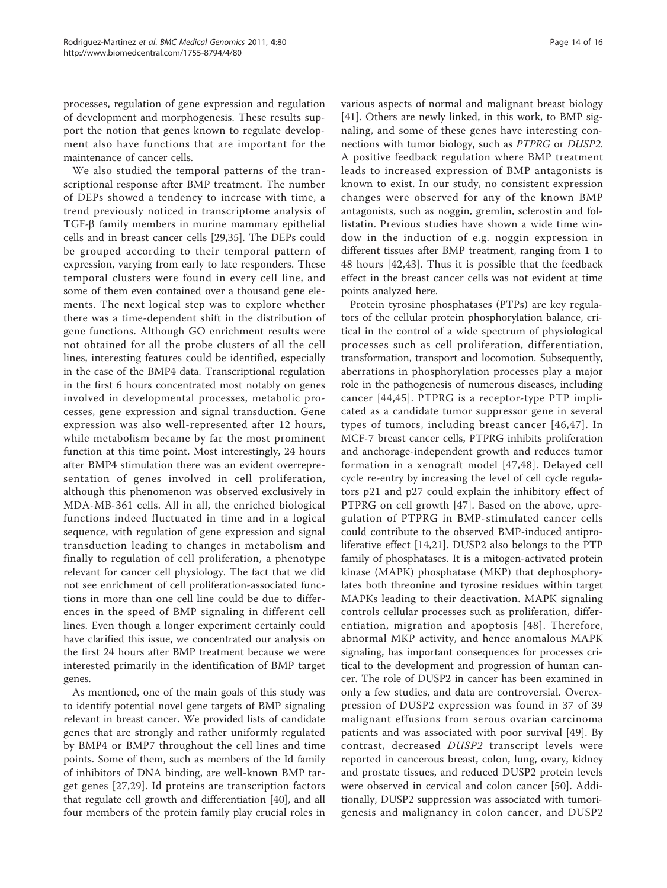processes, regulation of gene expression and regulation of development and morphogenesis. These results support the notion that genes known to regulate development also have functions that are important for the maintenance of cancer cells.

We also studied the temporal patterns of the transcriptional response after BMP treatment. The number of DEPs showed a tendency to increase with time, a trend previously noticed in transcriptome analysis of  $TGF- $\beta$  family members in murine mammary epithelial$ cells and in breast cancer cells [\[29](#page-16-0),[35\]](#page-16-0). The DEPs could be grouped according to their temporal pattern of expression, varying from early to late responders. These temporal clusters were found in every cell line, and some of them even contained over a thousand gene elements. The next logical step was to explore whether there was a time-dependent shift in the distribution of gene functions. Although GO enrichment results were not obtained for all the probe clusters of all the cell lines, interesting features could be identified, especially in the case of the BMP4 data. Transcriptional regulation in the first 6 hours concentrated most notably on genes involved in developmental processes, metabolic processes, gene expression and signal transduction. Gene expression was also well-represented after 12 hours, while metabolism became by far the most prominent function at this time point. Most interestingly, 24 hours after BMP4 stimulation there was an evident overrepresentation of genes involved in cell proliferation, although this phenomenon was observed exclusively in MDA-MB-361 cells. All in all, the enriched biological functions indeed fluctuated in time and in a logical sequence, with regulation of gene expression and signal transduction leading to changes in metabolism and finally to regulation of cell proliferation, a phenotype relevant for cancer cell physiology. The fact that we did not see enrichment of cell proliferation-associated functions in more than one cell line could be due to differences in the speed of BMP signaling in different cell lines. Even though a longer experiment certainly could have clarified this issue, we concentrated our analysis on the first 24 hours after BMP treatment because we were interested primarily in the identification of BMP target genes.

As mentioned, one of the main goals of this study was to identify potential novel gene targets of BMP signaling relevant in breast cancer. We provided lists of candidate genes that are strongly and rather uniformly regulated by BMP4 or BMP7 throughout the cell lines and time points. Some of them, such as members of the Id family of inhibitors of DNA binding, are well-known BMP target genes [[27,29](#page-16-0)]. Id proteins are transcription factors that regulate cell growth and differentiation [\[40\]](#page-16-0), and all four members of the protein family play crucial roles in various aspects of normal and malignant breast biology [[41\]](#page-16-0). Others are newly linked, in this work, to BMP signaling, and some of these genes have interesting connections with tumor biology, such as PTPRG or DUSP2. A positive feedback regulation where BMP treatment leads to increased expression of BMP antagonists is known to exist. In our study, no consistent expression changes were observed for any of the known BMP antagonists, such as noggin, gremlin, sclerostin and follistatin. Previous studies have shown a wide time window in the induction of e.g. noggin expression in different tissues after BMP treatment, ranging from 1 to 48 hours [[42,43](#page-16-0)]. Thus it is possible that the feedback effect in the breast cancer cells was not evident at time points analyzed here.

Protein tyrosine phosphatases (PTPs) are key regulators of the cellular protein phosphorylation balance, critical in the control of a wide spectrum of physiological processes such as cell proliferation, differentiation, transformation, transport and locomotion. Subsequently, aberrations in phosphorylation processes play a major role in the pathogenesis of numerous diseases, including cancer [[44,45\]](#page-16-0). PTPRG is a receptor-type PTP implicated as a candidate tumor suppressor gene in several types of tumors, including breast cancer [[46](#page-16-0),[47\]](#page-16-0). In MCF-7 breast cancer cells, PTPRG inhibits proliferation and anchorage-independent growth and reduces tumor formation in a xenograft model [[47,48](#page-16-0)]. Delayed cell cycle re-entry by increasing the level of cell cycle regulators p21 and p27 could explain the inhibitory effect of PTPRG on cell growth [[47](#page-16-0)]. Based on the above, upregulation of PTPRG in BMP-stimulated cancer cells could contribute to the observed BMP-induced antiproliferative effect [\[14](#page-15-0),[21](#page-15-0)]. DUSP2 also belongs to the PTP family of phosphatases. It is a mitogen-activated protein kinase (MAPK) phosphatase (MKP) that dephosphorylates both threonine and tyrosine residues within target MAPKs leading to their deactivation. MAPK signaling controls cellular processes such as proliferation, differentiation, migration and apoptosis [[48](#page-16-0)]. Therefore, abnormal MKP activity, and hence anomalous MAPK signaling, has important consequences for processes critical to the development and progression of human cancer. The role of DUSP2 in cancer has been examined in only a few studies, and data are controversial. Overexpression of DUSP2 expression was found in 37 of 39 malignant effusions from serous ovarian carcinoma patients and was associated with poor survival [[49](#page-16-0)]. By contrast, decreased DUSP2 transcript levels were reported in cancerous breast, colon, lung, ovary, kidney and prostate tissues, and reduced DUSP2 protein levels were observed in cervical and colon cancer [\[50\]](#page-16-0). Additionally, DUSP2 suppression was associated with tumorigenesis and malignancy in colon cancer, and DUSP2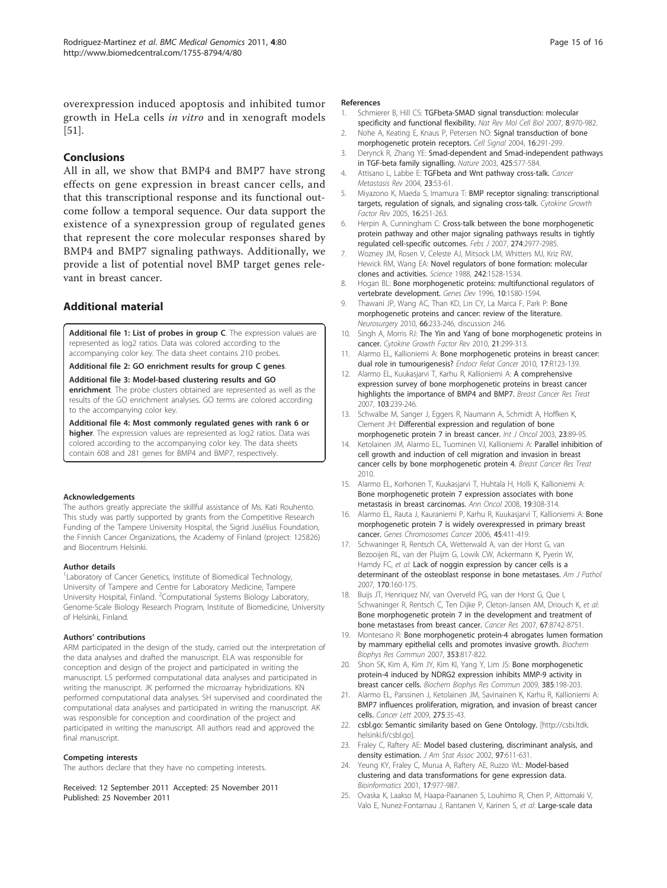<span id="page-15-0"></span>overexpression induced apoptosis and inhibited tumor growth in HeLa cells in vitro and in xenograft models [[51\]](#page-16-0).

# Conclusions

All in all, we show that BMP4 and BMP7 have strong effects on gene expression in breast cancer cells, and that this transcriptional response and its functional outcome follow a temporal sequence. Our data support the existence of a synexpression group of regulated genes that represent the core molecular responses shared by BMP4 and BMP7 signaling pathways. Additionally, we provide a list of potential novel BMP target genes relevant in breast cancer.

# Additional material

[Additional file 1: L](http://www.biomedcentral.com/content/supplementary/1755-8794-4-80-S1.XLS)ist of probes in group C. The expression values are represented as log2 ratios. Data was colored according to the accompanying color key. The data sheet contains 210 probes.

[Additional file 2: G](http://www.biomedcentral.com/content/supplementary/1755-8794-4-80-S2.XLS)O enrichment results for group C genes.

## [Additional file 3: M](http://www.biomedcentral.com/content/supplementary/1755-8794-4-80-S3.XLS)odel-based clustering results and GO

enrichment. The probe clusters obtained are represented as well as the results of the GO enrichment analyses. GO terms are colored according to the accompanying color key.

[Additional file 4: M](http://www.biomedcentral.com/content/supplementary/1755-8794-4-80-S4.XLS)ost commonly regulated genes with rank 6 or higher. The expression values are represented as log2 ratios. Data was colored according to the accompanying color key. The data sheets contain 608 and 281 genes for BMP4 and BMP7, respectively.

## Acknowledgements

The authors greatly appreciate the skillful assistance of Ms. Kati Rouhento. This study was partly supported by grants from the Competitive Research Funding of the Tampere University Hospital, the Sigrid Jusélius Foundation, the Finnish Cancer Organizations, the Academy of Finland (project: 125826) and Biocentrum Helsinki.

## Author details

<sup>1</sup> Laboratory of Cancer Genetics, Institute of Biomedical Technology, University of Tampere and Centre for Laboratory Medicine, Tampere University Hospital, Finland. <sup>2</sup>Computational Systems Biology Laboratory, Genome-Scale Biology Research Program, Institute of Biomedicine, University of Helsinki, Finland.

## Authors' contributions

ARM participated in the design of the study, carried out the interpretation of the data analyses and drafted the manuscript. ELA was responsible for conception and design of the project and participated in writing the manuscript. LS performed computational data analyses and participated in writing the manuscript. JK performed the microarray hybridizations. KN performed computational data analyses. SH supervised and coordinated the computational data analyses and participated in writing the manuscript. AK was responsible for conception and coordination of the project and participated in writing the manuscript. All authors read and approved the final manuscript.

## Competing interests

The authors declare that they have no competing interests.

Received: 12 September 2011 Accepted: 25 November 2011 Published: 25 November 2011

## References

- 1. Schmierer B, Hill CS: [TGFbeta-SMAD signal transduction: molecular](http://www.ncbi.nlm.nih.gov/pubmed/18000526?dopt=Abstract) [specificity and functional flexibility.](http://www.ncbi.nlm.nih.gov/pubmed/18000526?dopt=Abstract) Nat Rev Mol Cell Biol 2007, 8:970-982.
- 2. Nohe A, Keating E, Knaus P, Petersen NO: [Signal transduction of bone](http://www.ncbi.nlm.nih.gov/pubmed/14687659?dopt=Abstract) [morphogenetic protein receptors.](http://www.ncbi.nlm.nih.gov/pubmed/14687659?dopt=Abstract) Cell Signal 2004, 16:291-299.
- 3. Derynck R, Zhang YE: [Smad-dependent and Smad-independent pathways](http://www.ncbi.nlm.nih.gov/pubmed/14534577?dopt=Abstract) [in TGF-beta family signalling.](http://www.ncbi.nlm.nih.gov/pubmed/14534577?dopt=Abstract) Nature 2003, 425:577-584.
- 4. Attisano L, Labbe E: [TGFbeta and Wnt pathway cross-talk.](http://www.ncbi.nlm.nih.gov/pubmed/15000149?dopt=Abstract) Cancer Metastasis Rev 2004, 23:53-61.
- 5. Miyazono K, Maeda S, Imamura T: [BMP receptor signaling: transcriptional](http://www.ncbi.nlm.nih.gov/pubmed/15871923?dopt=Abstract) [targets, regulation of signals, and signaling cross-talk.](http://www.ncbi.nlm.nih.gov/pubmed/15871923?dopt=Abstract) Cytokine Growth Factor Rev 2005, 16:251-263.
- 6. Herpin A, Cunningham C: [Cross-talk between the bone morphogenetic](http://www.ncbi.nlm.nih.gov/pubmed/17521337?dopt=Abstract) [protein pathway and other major signaling pathways results in tightly](http://www.ncbi.nlm.nih.gov/pubmed/17521337?dopt=Abstract) [regulated cell-specific outcomes.](http://www.ncbi.nlm.nih.gov/pubmed/17521337?dopt=Abstract) Febs J 2007, 274:2977-2985.
- 7. Wozney JM, Rosen V, Celeste AJ, Mitsock LM, Whitters MJ, Kriz RW, Hewick RM, Wang EA: [Novel regulators of bone formation: molecular](http://www.ncbi.nlm.nih.gov/pubmed/3201241?dopt=Abstract) [clones and activities.](http://www.ncbi.nlm.nih.gov/pubmed/3201241?dopt=Abstract) Science 1988, 242:1528-1534.
- 8. Hogan BL: [Bone morphogenetic proteins: multifunctional regulators of](http://www.ncbi.nlm.nih.gov/pubmed/8682290?dopt=Abstract) [vertebrate development.](http://www.ncbi.nlm.nih.gov/pubmed/8682290?dopt=Abstract) Genes Dev 1996, 10:1580-1594.
- 9. Thawani JP, Wang AC, Than KD, Lin CY, La Marca F, Park P: [Bone](http://www.ncbi.nlm.nih.gov/pubmed/20042986?dopt=Abstract) [morphogenetic proteins and cancer: review of the literature.](http://www.ncbi.nlm.nih.gov/pubmed/20042986?dopt=Abstract) Neurosurgery 2010, 66:233-246, discussion 246.
- 10. Singh A, Morris RJ: [The Yin and Yang of bone morphogenetic proteins in](http://www.ncbi.nlm.nih.gov/pubmed/20688557?dopt=Abstract) [cancer.](http://www.ncbi.nlm.nih.gov/pubmed/20688557?dopt=Abstract) Cytokine Growth Factor Rev 2010, 21:299-313.
- 11. Alarmo EL, Kallioniemi A: [Bone morphogenetic proteins in breast cancer:](http://www.ncbi.nlm.nih.gov/pubmed/20335308?dopt=Abstract) [dual role in tumourigenesis?](http://www.ncbi.nlm.nih.gov/pubmed/20335308?dopt=Abstract) Endocr Relat Cancer 2010, 17:R123-139.
- 12. Alarmo EL, Kuukasjarvi T, Karhu R, Kallioniemi A: [A comprehensive](http://www.ncbi.nlm.nih.gov/pubmed/17004110?dopt=Abstract) [expression survey of bone morphogenetic proteins in breast cancer](http://www.ncbi.nlm.nih.gov/pubmed/17004110?dopt=Abstract) [highlights the importance of BMP4 and BMP7.](http://www.ncbi.nlm.nih.gov/pubmed/17004110?dopt=Abstract) Breast Cancer Res Treat 2007, 103:239-246.
- 13. Schwalbe M, Sanger J, Eggers R, Naumann A, Schmidt A, Hoffken K, Clement JH: [Differential expression and regulation of bone](http://www.ncbi.nlm.nih.gov/pubmed/12792780?dopt=Abstract) [morphogenetic protein 7 in breast cancer.](http://www.ncbi.nlm.nih.gov/pubmed/12792780?dopt=Abstract) Int J Oncol 2003, 23:89-95.
- 14. Ketolainen JM, Alarmo EL, Tuominen VJ, Kallioniemi A: Parallel inhibition of cell growth and induction of cell migration and invasion in breast cancer cells by bone morphogenetic protein 4. Breast Cancer Res Treat 2010.
- 15. Alarmo EL, Korhonen T, Kuukasjarvi T, Huhtala H, Holli K, Kallioniemi A: [Bone morphogenetic protein 7 expression associates with bone](http://www.ncbi.nlm.nih.gov/pubmed/17895257?dopt=Abstract) [metastasis in breast carcinomas.](http://www.ncbi.nlm.nih.gov/pubmed/17895257?dopt=Abstract) Ann Oncol 2008, 19:308-314.
- 16. Alarmo EL, Rauta J, Kauraniemi P, Karhu R, Kuukasjarvi T, Kallioniemi A: [Bone](http://www.ncbi.nlm.nih.gov/pubmed/16419056?dopt=Abstract) [morphogenetic protein 7 is widely overexpressed in primary breast](http://www.ncbi.nlm.nih.gov/pubmed/16419056?dopt=Abstract) [cancer.](http://www.ncbi.nlm.nih.gov/pubmed/16419056?dopt=Abstract) Genes Chromosomes Cancer 2006, 45:411-419.
- 17. Schwaninger R, Rentsch CA, Wetterwald A, van der Horst G, van Bezooijen RL, van der Pluijm G, Lowik CW, Ackermann K, Pyerin W, Hamdy FC, et al: [Lack of noggin expression by cancer cells is a](http://www.ncbi.nlm.nih.gov/pubmed/17200191?dopt=Abstract) [determinant of the osteoblast response in bone metastases.](http://www.ncbi.nlm.nih.gov/pubmed/17200191?dopt=Abstract) Am J Pathol 2007, 170:160-175.
- 18. Buijs JT, Henriquez NV, van Overveld PG, van der Horst G, Que I, Schwaninger R, Rentsch C, Ten Dijke P, Cleton-Jansen AM, Driouch K, et al: [Bone morphogenetic protein 7 in the development and treatment of](http://www.ncbi.nlm.nih.gov/pubmed/17875715?dopt=Abstract) [bone metastases from breast cancer.](http://www.ncbi.nlm.nih.gov/pubmed/17875715?dopt=Abstract) Cancer Res 2007, 67:8742-8751.
- 19. Montesano R: [Bone morphogenetic protein-4 abrogates lumen formation](http://www.ncbi.nlm.nih.gov/pubmed/17189614?dopt=Abstract) [by mammary epithelial cells and promotes invasive growth.](http://www.ncbi.nlm.nih.gov/pubmed/17189614?dopt=Abstract) Biochem Biophys Res Commun 2007, 353:817-822.
- 20. Shon SK, Kim A, Kim JY, Kim KI, Yang Y, Lim JS: [Bone morphogenetic](http://www.ncbi.nlm.nih.gov/pubmed/19450561?dopt=Abstract) [protein-4 induced by NDRG2 expression inhibits MMP-9 activity in](http://www.ncbi.nlm.nih.gov/pubmed/19450561?dopt=Abstract) [breast cancer cells.](http://www.ncbi.nlm.nih.gov/pubmed/19450561?dopt=Abstract) Biochem Biophys Res Commun 2009, 385:198-203.
- 21. Alarmo EL, Parssinen J, Ketolainen JM, Savinainen K, Karhu R, Kallioniemi A: [BMP7 influences proliferation, migration, and invasion of breast cancer](http://www.ncbi.nlm.nih.gov/pubmed/18980801?dopt=Abstract) [cells.](http://www.ncbi.nlm.nih.gov/pubmed/18980801?dopt=Abstract) Cancer Lett 2009, 275:35-43.
- 22. csbl.go: Semantic similarity based on Gene Ontology. [\[http://csbi.ltdk.](http://csbi.ltdk.helsinki.fi/csbl.go) [helsinki.fi/csbl.go](http://csbi.ltdk.helsinki.fi/csbl.go)].
- 23. Fraley C, Raftery AE: Model based clustering, discriminant analysis, and density estimation. J Am Stat Assoc 2002, 97:611-631.
- 24. Yeung KY, Fraley C, Murua A, Raftery AE, Ruzzo WL: [Model-based](http://www.ncbi.nlm.nih.gov/pubmed/11673243?dopt=Abstract) [clustering and data transformations for gene expression data.](http://www.ncbi.nlm.nih.gov/pubmed/11673243?dopt=Abstract) Bioinformatics 2001, 17:977-987.
- 25. Ovaska K, Laakso M, Haapa-Paananen S, Louhimo R, Chen P, Aittomaki V, Valo E, Nunez-Fontarnau J, Rantanen V, Karinen S, et al: [Large-scale data](http://www.ncbi.nlm.nih.gov/pubmed/20822536?dopt=Abstract)